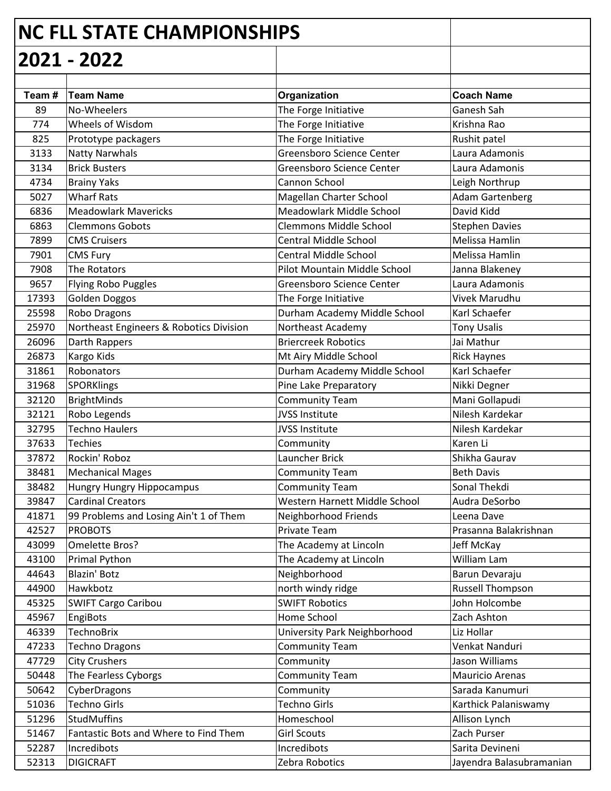|       | <b>NC FLL STATE CHAMPIONSHIPS</b>       |                                     |                          |
|-------|-----------------------------------------|-------------------------------------|--------------------------|
|       | 2021 - 2022                             |                                     |                          |
|       |                                         |                                     |                          |
| Team# | <b>Team Name</b>                        | Organization                        | <b>Coach Name</b>        |
| 89    | No-Wheelers                             | The Forge Initiative                | Ganesh Sah               |
| 774   | Wheels of Wisdom                        | The Forge Initiative                | Krishna Rao              |
| 825   | Prototype packagers                     | The Forge Initiative                | Rushit patel             |
| 3133  | <b>Natty Narwhals</b>                   | Greensboro Science Center           | Laura Adamonis           |
| 3134  | <b>Brick Busters</b>                    | Greensboro Science Center           | Laura Adamonis           |
| 4734  | <b>Brainy Yaks</b>                      | Cannon School                       | Leigh Northrup           |
| 5027  | <b>Wharf Rats</b>                       | Magellan Charter School             | <b>Adam Gartenberg</b>   |
| 6836  | <b>Meadowlark Mavericks</b>             | Meadowlark Middle School            | David Kidd               |
| 6863  | <b>Clemmons Gobots</b>                  | <b>Clemmons Middle School</b>       | <b>Stephen Davies</b>    |
| 7899  | <b>CMS Cruisers</b>                     | <b>Central Middle School</b>        | Melissa Hamlin           |
| 7901  | <b>CMS Fury</b>                         | <b>Central Middle School</b>        | Melissa Hamlin           |
| 7908  | The Rotators                            | Pilot Mountain Middle School        | Janna Blakeney           |
| 9657  | Flying Robo Puggles                     | Greensboro Science Center           | Laura Adamonis           |
| 17393 | Golden Doggos                           | The Forge Initiative                | Vivek Marudhu            |
| 25598 | Robo Dragons                            | Durham Academy Middle School        | Karl Schaefer            |
| 25970 | Northeast Engineers & Robotics Division | Northeast Academy                   | <b>Tony Usalis</b>       |
| 26096 | Darth Rappers                           | <b>Briercreek Robotics</b>          | Jai Mathur               |
| 26873 | Kargo Kids                              | Mt Airy Middle School               | <b>Rick Haynes</b>       |
| 31861 | Robonators                              | Durham Academy Middle School        | Karl Schaefer            |
| 31968 | SPORKlings                              | Pine Lake Preparatory               | Nikki Degner             |
| 32120 | BrightMinds                             | <b>Community Team</b>               | Mani Gollapudi           |
| 32121 | Robo Legends                            | <b>JVSS Institute</b>               | Nilesh Kardekar          |
| 32795 | <b>Techno Haulers</b>                   | <b>JVSS Institute</b>               | Nilesh Kardekar          |
| 37633 | <b>Techies</b>                          | Community                           | Karen Li                 |
| 37872 | Rockin' Roboz                           | <b>Launcher Brick</b>               | Shikha Gaurav            |
| 38481 | <b>Mechanical Mages</b>                 | <b>Community Team</b>               | <b>Beth Davis</b>        |
| 38482 | Hungry Hungry Hippocampus               | <b>Community Team</b>               | Sonal Thekdi             |
| 39847 | <b>Cardinal Creators</b>                | Western Harnett Middle School       | Audra DeSorbo            |
| 41871 | 99 Problems and Losing Ain't 1 of Them  | Neighborhood Friends                | Leena Dave               |
| 42527 | <b>PROBOTS</b>                          | Private Team                        | Prasanna Balakrishnan    |
| 43099 | Omelette Bros?                          | The Academy at Lincoln              | Jeff McKay               |
| 43100 | Primal Python                           | The Academy at Lincoln              | William Lam              |
| 44643 | <b>Blazin' Botz</b>                     | Neighborhood                        | Barun Devaraju           |
| 44900 | Hawkbotz                                | north windy ridge                   | Russell Thompson         |
| 45325 | <b>SWIFT Cargo Caribou</b>              | <b>SWIFT Robotics</b>               | John Holcombe            |
| 45967 | EngiBots                                | Home School                         | Zach Ashton              |
| 46339 | <b>TechnoBrix</b>                       | <b>University Park Neighborhood</b> | Liz Hollar               |
| 47233 | Techno Dragons                          | <b>Community Team</b>               | Venkat Nanduri           |
| 47729 | <b>City Crushers</b>                    | Community                           | Jason Williams           |
| 50448 | The Fearless Cyborgs                    | <b>Community Team</b>               | <b>Mauricio Arenas</b>   |
| 50642 | CyberDragons                            | Community                           | Sarada Kanumuri          |
| 51036 | <b>Techno Girls</b>                     | <b>Techno Girls</b>                 | Karthick Palaniswamy     |
| 51296 | StudMuffins                             | Homeschool                          | Allison Lynch            |
| 51467 | Fantastic Bots and Where to Find Them   | <b>Girl Scouts</b>                  | Zach Purser              |
| 52287 | Incredibots                             | Incredibots                         | Sarita Devineni          |
| 52313 | <b>DIGICRAFT</b>                        | Zebra Robotics                      | Jayendra Balasubramanian |